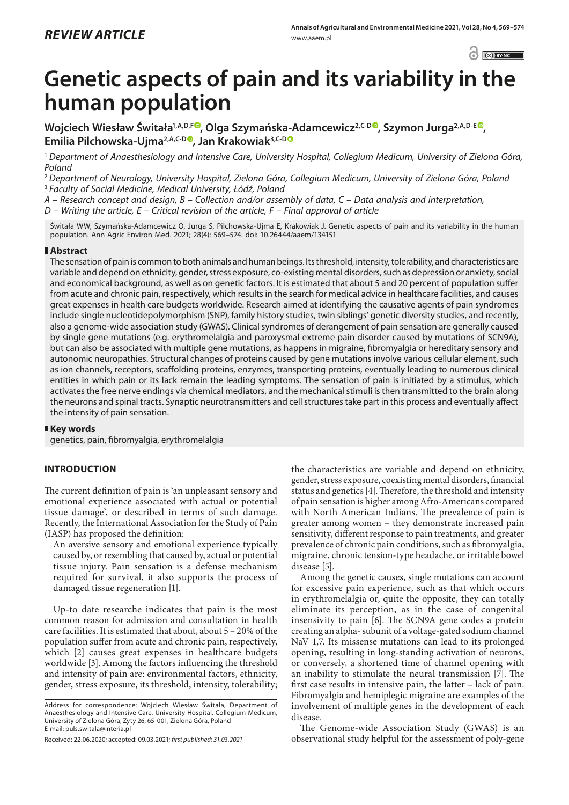$\odot$   $\odot$  BY-NC

# **Genetic aspects of pain and its variability in the human population**

Wojciech Wiesław Świtała<sup>1[,](https://orcid.org/0000-0002-1304-5393)A,D,F®</sup>, Olga Szymańska-Adamcewicz<sup>2,C-D®</sup>, Szymon Jurga<sup>2,A,D-E®</sup> **Emilia Pilchowska-Ujma2,A,C-[D](https://orcid.org/0000-0001-7840-2323) , Jan Krakowiak3,C-D**

<sup>1</sup> *Department of Anaesthesiology and Intensive Care, University Hospital, Collegium Medicum, University of Zielona Góra, Poland*

<sup>2</sup> *Department of Neurology, University Hospital, Zielona Góra, Collegium Medicum, University of Zielona Góra, Poland* <sup>3</sup> *Faculty of Social Medicine, Medical University, Łódź, Poland*

*A – Research concept and design, B – Collection and/or assembly of data, C – Data analysis and interpretation,* 

*D – Writing the article, E – Critical revision of the article, F – Final approval of article*

Świtała WW, Szymańska-Adamcewicz O, Jurga S, Pilchowska-Ujma E, Krakowiak J. Genetic aspects of pain and its variability in the human population. Ann Agric Environ Med. 2021; 28(4): 569–574. doi: 10.26444/aaem/134151

# **Abstract**

The sensation of pain is common to both animals and human beings. Its threshold, intensity, tolerability, and characteristics are variable and depend on ethnicity, gender, stress exposure, co-existing mental disorders, such as depression or anxiety, social and economical background, as well as on genetic factors. It is estimated that about 5 and 20 percent of population suffer from acute and chronic pain, respectively, which results in the search for medical advice in healthcare facilities, and causes great expenses in health care budgets worldwide. Research aimed at identifying the causative agents of pain syndromes include single nucleotidepolymorphism (SNP), family history studies, twin siblings' genetic diversity studies, and recently, also a genome-wide association study (GWAS). Clinical syndromes of derangement of pain sensation are generally caused by single gene mutations (e.g. erythromelalgia and paroxysmal extreme pain disorder caused by mutations of SCN9A), but can also be associated with multiple gene mutations, as happens in migraine, fibromyalgia or hereditary sensory and autonomic neuropathies. Structural changes of proteins caused by gene mutations involve various cellular element, such as ion channels, receptors, scaffolding proteins, enzymes, transporting proteins, eventually leading to numerous clinical entities in which pain or its lack remain the leading symptoms. The sensation of pain is initiated by a stimulus, which activates the free nerve endings via chemical mediators, and the mechanical stimuli is then transmitted to the brain along the neurons and spinal tracts. Synaptic neurotransmitters and cell structures take part in this process and eventually affect the intensity of pain sensation.

# **Key words**

genetics, pain, fibromyalgia, erythromelalgia

# **INTRODUCTION**

The current definition of pain is 'an unpleasant sensory and emotional experience associated with actual or potential tissue damage', or described in terms of such damage. Recently, the International Association for the Study of Pain (IASP) has proposed the definition:

An aversive sensory and emotional experience typically caused by, or resembling that caused by, actual or potential tissue injury. Pain sensation is a defense mechanism required for survival, it also supports the process of damaged tissue regeneration [1].

Up-to date researche indicates that pain is the most common reason for admission and consultation in health care facilities. It is estimated that about, about 5 – 20% of the population suffer from acute and chronic pain, respectively, which [2] causes great expenses in healthcare budgets worldwide [3]. Among the factors influencing the threshold and intensity of pain are: environmental factors, ethnicity, gender, stress exposure, its threshold, intensity, tolerability;

the characteristics are variable and depend on ethnicity, gender, stress exposure, coexisting mental disorders, financial status and genetics [4]. Therefore, the threshold and intensity of pain sensation is higher among Afro-Americans compared with North American Indians. The prevalence of pain is greater among women – they demonstrate increased pain sensitivity, different response to pain treatments, and greater prevalence of chronic pain conditions, such as fibromyalgia, migraine, chronic tension-type headache, or irritable bowel disease [5].

Among the genetic causes, single mutations can account for excessive pain experience, such as that which occurs in erythromelalgia or, quite the opposite, they can totally eliminate its perception, as in the case of congenital insensivity to pain [6]. The SCN9A gene codes a protein creating an alpha- subunit of a voltage-gated sodium channel NaV 1,7. Its missense mutations can lead to its prolonged opening, resulting in long-standing activation of neurons, or conversely, a shortened time of channel opening with an inability to stimulate the neural transmission [7]. The first case results in intensive pain, the latter – lack of pain. Fibromyalgia and hemiplegic migraine are examples of the involvement of multiple genes in the development of each disease.

The Genome-wide Association Study (GWAS) is an observational study helpful for the assessment of poly-gene

Address for correspondence: Wojciech Wiesław Świtała, Department of Anaesthesiology and Intensive Care, University Hospital, Collegium Medicum, University of Zielona Góra, Zyty 26, 65-001, Zielona Góra, Poland E-mail: puls.switala@interia.pl

Received: 22.06.2020; accepted: 09.03.2021; *first published: 31.03.2021*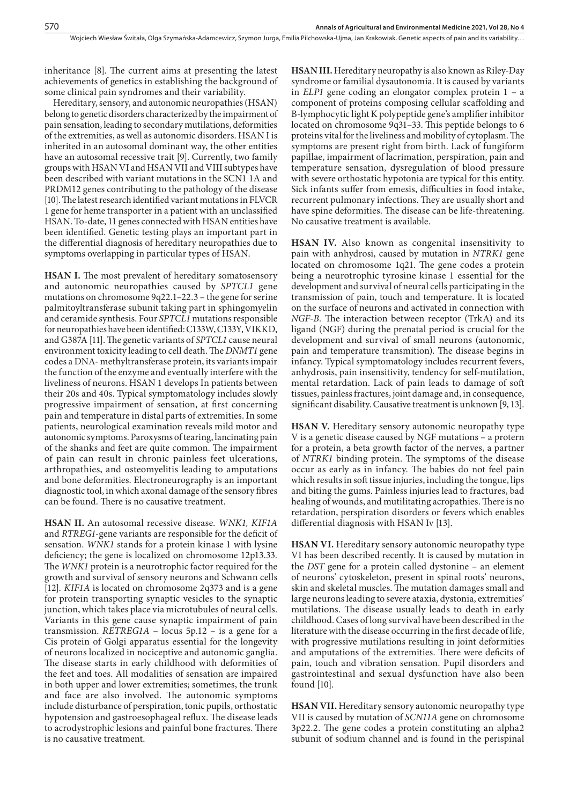inheritance [8]. The current aims at presenting the latest achievements of genetics in establishing the background of some clinical pain syndromes and their variability.

Hereditary, sensory, and autonomic neuropathies (HSAN) belong to genetic disorders characterized by the impairment of pain sensation, leading to secondary mutilations, deformities of the extremities, as well as autonomic disorders. HSAN I is inherited in an autosomal dominant way, the other entities have an autosomal recessive trait [9]. Currently, two family groups with HSAN VI and HSAN VII and VIII subtypes have been described with variant mutations in the SCN1 1A and PRDM12 genes contributing to the pathology of the disease [10]. The latest research identified variant mutations in FLVCR 1 gene for heme transporter in a patient with an unclassified HSAN. To-date, 11 genes connected with HSAN entities have been identified. Genetic testing plays an important part in the differential diagnosis of hereditary neuropathies due to symptoms overlapping in particular types of HSAN.

**HSAN I.** The most prevalent of hereditary somatosensory and autonomic neuropathies caused by *SPTCL1* gene mutations on chromosome 9q22.1–22.3 – the gene for serine palmitoyltransferase subunit taking part in sphingomyelin and ceramide synthesis. Four *SPTCL1* mutations responsible for neuropathies have been identified: C133W, C133Y, VIKKD, and G387A [11]. The genetic variants of *SPTCL1* cause neural environment toxicity leading to cell death. The *DNMT1* gene codes a DNA- methyltransferase protein, its variants impair the function of the enzyme and eventually interfere with the liveliness of neurons. HSAN 1 develops In patients between their 20s and 40s. Typical symptomatology includes slowly progressive impairment of sensation, at first concerning pain and temperature in distal parts of extremities. In some patients, neurological examination reveals mild motor and autonomic symptoms. Paroxysms of tearing, lancinating pain of the shanks and feet are quite common. The impairment of pain can result in chronic painless feet ulcerations, arthropathies, and osteomyelitis leading to amputations and bone deformities. Electroneurography is an important diagnostic tool, in which axonal damage of the sensory fibres can be found. There is no causative treatment.

**HSAN II.** An autosomal recessive disease*. WNK1, KIF1A*  and *RTREG1*-gene variants are responsible for the deficit of sensation. *WNK1* stands for a protein kinase 1 with lysine deficiency; the gene is localized on chromosome 12p13.33. The *WNK1* protein is a neurotrophic factor required for the growth and survival of sensory neurons and Schwann cells [12]*. KIF1A* is located on chromosome 2q373 and is a gene for protein transporting synaptic vesicles to the synaptic junction, which takes place via microtubules of neural cells. Variants in this gene cause synaptic impairment of pain transmission. *RETREG1A* – locus 5p.12 – is a gene for a Cis protein of Golgi apparatus essential for the longevity of neurons localized in nociceptive and autonomic ganglia. The disease starts in early childhood with deformities of the feet and toes. All modalities of sensation are impaired in both upper and lower extremities; sometimes, the trunk and face are also involved. The autonomic symptoms include disturbance of perspiration, tonic pupils, orthostatic hypotension and gastroesophageal reflux. The disease leads to acrodystrophic lesions and painful bone fractures. There is no causative treatment.

**HSAN III.** Hereditary neuropathy is also known as Riley-Day syndrome or familial dysautonomia. It is caused by variants in *ELP1* gene coding an elongator complex protein 1 – a component of proteins composing cellular scaffolding and B-lymphocytic light K polypeptide gene's amplifier inhibitor located on chromosome 9q31–33. This peptide belongs to 6 proteins vital for the liveliness and mobility of cytoplasm. The symptoms are present right from birth. Lack of fungiform papillae, impairment of lacrimation, perspiration, pain and temperature sensation, dysregulation of blood pressure with severe orthostatic hypotonia are typical for this entity. Sick infants suffer from emesis, difficulties in food intake, recurrent pulmonary infections. They are usually short and have spine deformities. The disease can be life-threatening. No causative treatment is available.

**HSAN IV.** Also known as congenital insensitivity to pain with anhydrosi, caused by mutation in *NTRK1* gene located on chromosome 1q21. The gene codes a protein being a neurotrophic tyrosine kinase 1 essential for the development and survival of neural cells participating in the transmission of pain, touch and temperature. It is located on the surface of neurons and activated in connection with *NGF-B.* The interaction between receptor (TrkA) and its ligand (NGF) during the prenatal period is crucial for the development and survival of small neurons (autonomic, pain and temperature transmition). The disease begins in infancy. Typical symptomatology includes recurrent fevers, anhydrosis, pain insensitivity, tendency for self-mutilation, mental retardation. Lack of pain leads to damage of soft tissues, painless fractures, joint damage and, in consequence, significant disability. Causative treatment is unknown [9, 13].

**HSAN V.** Hereditary sensory autonomic neuropathy type V is a genetic disease caused by NGF mutations – a protern for a protein, a beta growth factor of the nerves, a partner of *NTRK1* binding protein. The symptoms of the disease occur as early as in infancy. The babies do not feel pain which results in soft tissue injuries, including the tongue, lips and biting the gums. Painless injuries lead to fractures, bad healing of wounds, and mutilitating acropathies. There is no retardation, perspiration disorders or fevers which enables differential diagnosis with HSAN Iv [13].

**HSAN VI.** Hereditary sensory autonomic neuropathy type VI has been described recently. It is caused by mutation in the *DST* gene for a protein called dystonine – an element of neurons' cytoskeleton, present in spinal roots' neurons, skin and skeletal muscles. The mutation damages small and large neurons leading to severe ataxia, dystonia, extremities' mutilations. The disease usually leads to death in early childhood. Cases of long survival have been described in the literature with the disease occurring in the first decade of life, with progressive mutilations resulting in joint deformities and amputations of the extremities. There were deficits of pain, touch and vibration sensation. Pupil disorders and gastrointestinal and sexual dysfunction have also been found [10].

**HSAN VII.** Hereditary sensory autonomic neuropathy type VII is caused by mutation of *SCN11A* gene on chromosome 3p22.2. The gene codes a protein constituting an alpha2 subunit of sodium channel and is found in the perispinal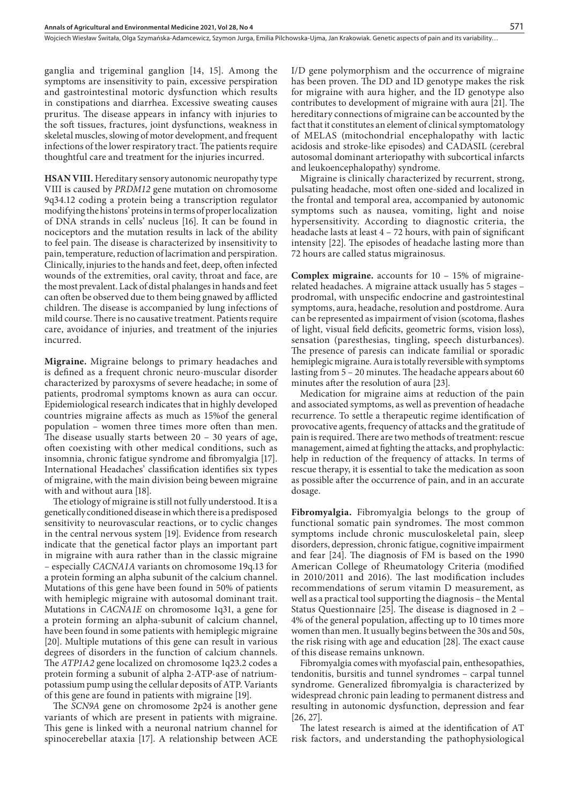ganglia and trigeminal ganglion [14, 15]. Among the symptoms are insensitivity to pain, excessive perspiration and gastrointestinal motoric dysfunction which results in constipations and diarrhea. Excessive sweating causes pruritus. The disease appears in infancy with injuries to the soft tissues, fractures, joint dysfunctions, weakness in skeletal muscles, slowing of motor development, and frequent infections of the lower respiratory tract. The patients require thoughtful care and treatment for the injuries incurred.

**HSAN VIII.** Hereditary sensory autonomic neuropathy type VIII is caused by *PRDM12* gene mutation on chromosome 9q34.12 coding a protein being a transcription regulator modifying the histons' proteins in terms of proper localization of DNA strands in cells' nucleus [16]. It can be found in nociceptors and the mutation results in lack of the ability to feel pain. The disease is characterized by insensitivity to pain, temperature, reduction of lacrimation and perspiration. Clinically, injuries to the hands and feet, deep, often infected wounds of the extremities, oral cavity, throat and face, are the most prevalent. Lack of distal phalanges in hands and feet can often be observed due to them being gnawed by afflicted children. The disease is accompanied by lung infections of mild course. There is no causative treatment. Patients require care, avoidance of injuries, and treatment of the injuries incurred.

**Migraine.** Migraine belongs to primary headaches and is defined as a frequent chronic neuro-muscular disorder characterized by paroxysms of severe headache; in some of patients, prodromal symptoms known as aura can occur. Epidemiological research indicates that in highly developed countries migraine affects as much as 15%of the general population – women three times more often than men. The disease usually starts between 20 – 30 years of age, often coexisting with other medical conditions, such as insomnia, chronic fatigue syndrome and fibromyalgia [17]. International Headaches' classification identifies six types of migraine, with the main division being beween migraine with and without aura [18].

The etiology of migraine is still not fully understood. It is a genetically conditioned disease in which there is a predisposed sensitivity to neurovascular reactions, or to cyclic changes in the central nervous system [19]. Evidence from research indicate that the genetical factor plays an important part in migraine with aura rather than in the classic migraine – especially *CACNA1A* variants on chromosome 19q.13 for a protein forming an alpha subunit of the calcium channel. Mutations of this gene have been found in 50% of patients with hemiplegic migraine with autosomal dominant trait. Mutations in *CACNA1E* on chromosome 1q31, a gene for a protein forming an alpha-subunit of calcium channel, have been found in some patients with hemiplegic migraine [20]. Multiple mutations of this gene can result in various degrees of disorders in the function of calcium channels. The *ATP1A2* gene localized on chromosome 1q23.2 codes a protein forming a subunit of alpha 2-ATP-ase of natriumpotassium pump using the cellular deposits of ATP. Variants of this gene are found in patients with migraine [19].

The *SCN9A* gene on chromosome 2p24 is another gene variants of which are present in patients with migraine. This gene is linked with a neuronal natrium channel for spinocerebellar ataxia [17]. A relationship between ACE

I/D gene polymorphism and the occurrence of migraine has been proven. The DD and ID genotype makes the risk for migraine with aura higher, and the ID genotype also contributes to development of migraine with aura [21]. The hereditary connections of migraine can be accounted by the fact that it constitutes an element of clinical symptomatology of MELAS (mitochondrial encephalopathy with lactic acidosis and stroke-like episodes) and CADASIL (cerebral autosomal dominant arteriopathy with subcortical infarcts and leukoencephalopathy) syndrome.

Migraine is clinically characterized by recurrent, strong, pulsating headache, most often one-sided and localized in the frontal and temporal area, accompanied by autonomic symptoms such as nausea, vomiting, light and noise hypersensitivity. According to diagnostic criteria, the headache lasts at least 4 – 72 hours, with pain of significant intensity [22]. The episodes of headache lasting more than 72 hours are called status migrainosus.

**Complex migraine.** accounts for 10 – 15% of migrainerelated headaches. A migraine attack usually has 5 stages – prodromal, with unspecific endocrine and gastrointestinal symptoms, aura, headache, resolution and postdrome. Aura can be represented as impairment of vision (scotoma, flashes of light, visual field deficits, geometric forms, vision loss), sensation (paresthesias, tingling, speech disturbances). The presence of paresis can indicate familial or sporadic hemiplegic migraine. Aura is totally reversible with symptoms lasting from 5 – 20 minutes. The headache appears about 60 minutes after the resolution of aura [23].

Medication for migraine aims at reduction of the pain and associated symptoms, as well as prevention of headache recurrence. To settle a therapeutic regime identification of provocative agents, frequency of attacks and the gratitude of pain is required. There are two methods of treatment: rescue management, aimed at fighting the attacks, and prophylactic: help in reduction of the frequency of attacks. In terms of rescue therapy, it is essential to take the medication as soon as possible after the occurrence of pain, and in an accurate dosage.

**Fibromyalgia.** Fibromyalgia belongs to the group of functional somatic pain syndromes. The most common symptoms include chronic musculoskeletal pain, sleep disorders, depression, chronic fatigue, cognitive impairment and fear [24]. The diagnosis of FM is based on the 1990 American College of Rheumatology Criteria (modified in 2010/2011 and 2016). The last modification includes recommendations of serum vitamin D measurement, as well as a practical tool supporting the diagnosis – the Mental Status Questionnaire [25]. The disease is diagnosed in 2 – 4% of the general population, affecting up to 10 times more women than men. It usually begins between the 30s and 50s, the risk rising with age and education [28]. The exact cause of this disease remains unknown.

Fibromyalgia comes with myofascial pain, enthesopathies, tendonitis, bursitis and tunnel syndromes – carpal tunnel syndrome. Generalized fibromyalgia is characterized by widespread chronic pain leading to permanent distress and resulting in autonomic dysfunction, depression and fear [26, 27].

The latest research is aimed at the identification of AT risk factors, and understanding the pathophysiological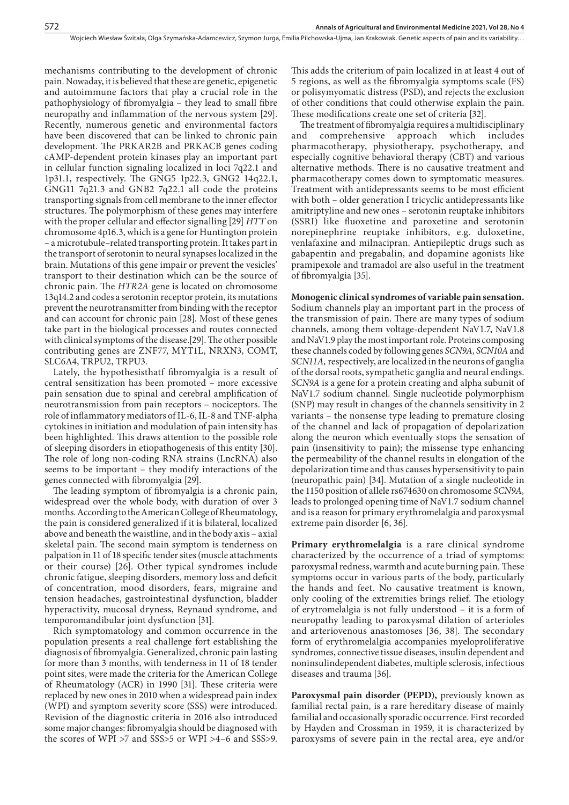mechanisms contributing to the development of chronic pain. Nowaday, it is believed that these are genetic, epigenetic and autoimmune factors that play a crucial role in the pathophysiology of fibromyalgia – they lead to small fibre neuropathy and inflammation of the nervous system [29]. Recently, numerous genetic and environmental factors have been discovered that can be linked to chronic pain development. The PRKAR2B and PRKACB genes coding cAMP-dependent protein kinases play an important part in cellular function signaling localized in loci 7q22.1 and 1p31.1, respectively. The GNG5 1p22.3, GNG2 14q22.1, GNG11 7q21.3 and GNB2 7q22.1 all code the proteins transporting signals from cell membrane to the inner effector structures. The polymorphism of these genes may interfere with the proper cellular and effector signalling [29] *HTT* on chromosome 4p16.3, which is a gene for Huntington protein – a microtubule–related transporting protein. It takes part in the transport of serotonin to neural synapses localized in the brain. Mutations of this gene impair or prevent the vesicles' transport to their destination which can be the source of chronic pain. The *HTR2A* gene is located on chromosome 13q14.2 and codes a serotonin receptor protein, its mutations prevent the neurotransmitter from binding with the receptor and can account for chronic pain [28]. Most of these genes take part in the biological processes and routes connected with clinical symptoms of the disease.[29]. The other possible contributing genes are ZNF77, MYT1L, NRXN3, COMT, SLC6A4, TRPU2, TRPU3.

Lately, the hypothesisthatf fibromyalgia is a result of central sensitization has been promoted – more excessive pain sensation due to spinal and cerebral amplification of neurotransmission from pain receptors – nociceptors. The role of inflammatory mediators of IL-6, IL-8 and TNF-alpha cytokines in initiation and modulation of pain intensity has been highlighted. This draws attention to the possible role of sleeping disorders in etiopathogenesis of this entity [30]. The role of long non-coding RNA strains (LncRNA) also seems to be important – they modify interactions of the genes connected with fibromyalgia [29].

The leading symptom of fibromyalgia is a chronic pain, widespread over the whole body, with duration of over 3 months. According to the American College of Rheumatology, the pain is considered generalized if it is bilateral, localized above and beneath the waistline, and in the body axis – axial skeletal pain. The second main symptom is tenderness on palpation in 11 of 18 specific tender sites (muscle attachments or their course) [26]. Other typical syndromes include chronic fatigue, sleeping disorders, memory loss and deficit of concentration, mood disorders, fears, migraine and tension headaches, gastrointestinal dysfunction, bladder hyperactivity, mucosal dryness, Reynaud syndrome, and temporomandibular joint dysfunction [31].

Rich symptomatology and common occurrence in the population presents a real challenge fort establishing the diagnosis of fibromyalgia. Generalized, chronic pain lasting for more than 3 months, with tenderness in 11 of 18 tender point sites, were made the criteria for the American College of Rheumatology (ACR) in 1990 [31]. These criteria were replaced by new ones in 2010 when a widespread pain index (WPI) and symptom severity score (SSS) were introduced. Revision of the diagnostic criteria in 2016 also introduced some major changes: fibromyalgia should be diagnosed with the scores of WPI >7 and SSS>5 or WPI >4–6 and SSS>9.

This adds the criterium of pain localized in at least 4 out of 5 regions, as well as the fibromyalgia symptoms scale (FS) or polisymyomatic distress (PSD), and rejects the exclusion of other conditions that could otherwise explain the pain. These modifications create one set of criteria [32].

The treatment of fibromyalgia requires a multidisciplinary and comprehensive approach which includes pharmacotherapy, physiotherapy, psychotherapy, and especially cognitive behavioral therapy (CBT) and various alternative methods. There is no causative treatment and pharmacotherapy comes down to symptomatic measures. Treatment with antidepressants seems to be most efficient with both – older generation I tricyclic antidepressants like amitriptyline and new ones – serotonin reuptake inhibitors (SSRI) like fluoxetine and paroxetine and serotonin norepinephrine reuptake inhibitors, e.g. duloxetine, venlafaxine and milnacipran. Antiepileptic drugs such as gabapentin and pregabalin, and dopamine agonists like pramipexole and tramadol are also useful in the treatment of fibromyalgia [35].

# **Monogenic clinical syndromes of variable pain sensation.**

Sodium channels play an important part in the process of the transmission of pain. There are many types of sodium channels, among them voltage-dependent NaV1.7, NaV1.8 and NaV1.9 play the most important role. Proteins composing these channels coded by following genes *SCN9A*, *SCN10A* and *SCN11A,* respectively, are localized in the neurons of ganglia of the dorsal roots, sympathetic ganglia and neural endings. *SCN9A* is a gene for a protein creating and alpha subunit of NaV1.7 sodium channel. Single nucleotide polymorphism (SNP) may result in changes of the channels sensitivity in 2 variants – the nonsense type leading to premature closing of the channel and lack of propagation of depolarization along the neuron which eventually stops the sensation of pain (insensitivity to pain); the missense type enhancing the permeability of the channel results in elongation of the depolarization time and thus causes hypersensitivity to pain (neuropathic pain) [34]. Mutation of a single nucleotide in the 1150 position of allele rs674630 on chromosome *SCN9A,* leads to prolonged opening time of NaV1.7 sodium channel and is a reason for primary erythromelalgia and paroxysmal extreme pain disorder [6, 36].

**Primary erythromelalgia** is a rare clinical syndrome characterized by the occurrence of a triad of symptoms: paroxysmal redness, warmth and acute burning pain. These symptoms occur in various parts of the body, particularly the hands and feet. No causative treatment is known, only cooling of the extremities brings relief. The etiology of erytromelalgia is not fully understood – it is a form of neuropathy leading to paroxysmal dilation of arterioles and arteriovenous anastomoses [36, 38]. The secondary form of erythromelalgia accompanies myeloproliferative syndromes, connective tissue diseases, insulin dependent and noninsulindependent diabetes, multiple sclerosis, infectious diseases and trauma [36].

**Paroxysmal pain disorder (PEPD),** previously known as familial rectal pain, is a rare hereditary disease of mainly familial and occasionally sporadic occurrence. First recorded by Hayden and Crossman in 1959, it is characterized by paroxysms of severe pain in the rectal area, eye and/or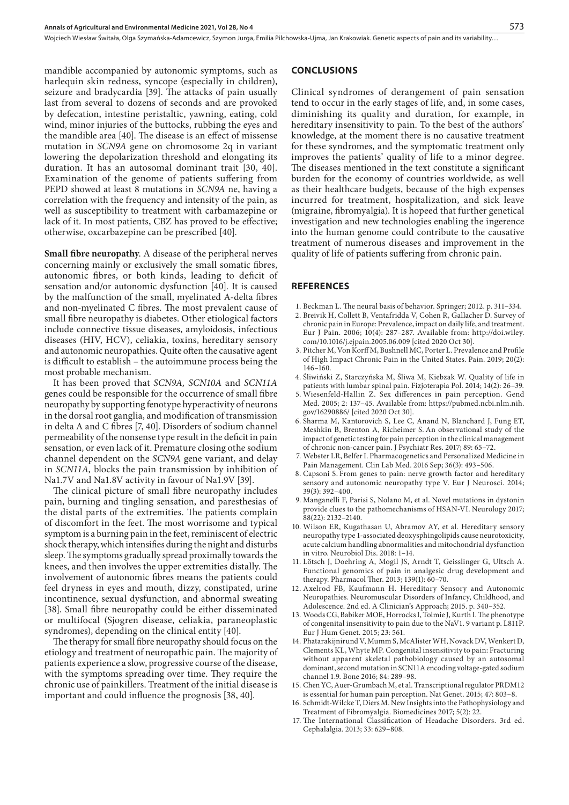Wojciech Wiesław Świtała, Olga Szymańska-Adamcewicz, Szymon Jurga, Emilia Pilchowska-Ujma, Jan Krakowiak . Genetic aspects of pain and its variability…

mandible accompanied by autonomic symptoms, such as harlequin skin redness, syncope (especially in children), seizure and bradycardia [39]. The attacks of pain usually last from several to dozens of seconds and are provoked by defecation, intestine peristaltic, yawning, eating, cold wind, minor injuries of the buttocks, rubbing the eyes and the mandible area [40]. The disease is an effect of missense mutation in *SCN9A* gene on chromosome 2q in variant lowering the depolarization threshold and elongating its duration. It has an autosomal dominant trait [30, 40]. Examination of the genome of patients suffering from PEPD showed at least 8 mutations in *SCN9A* ne, having a correlation with the frequency and intensity of the pain, as well as susceptibility to treatment with carbamazepine or lack of it. In most patients, CBZ has proved to be effective; otherwise, oxcarbazepine can be prescribed [40].

**Small fibre neuropathy**. A disease of the peripheral nerves concerning mainly or exclusively the small somatic fibres, autonomic fibres, or both kinds, leading to deficit of sensation and/or autonomic dysfunction [40]. It is caused by the malfunction of the small, myelinated A-delta fibres and non-myelinated C fibres. The most prevalent cause of small fibre neuropathy is diabetes. Other etiological factors include connective tissue diseases, amyloidosis, infectious diseases (HIV, HCV), celiakia, toxins, hereditary sensory and autonomic neuropathies. Quite often the causative agent is difficult to establish – the autoimmune process being the most probable mechanism.

It has been proved that *SCN9A, SCN10A* and *SCN11A* genes could be responsible for the occurrence of small fibre neuropathy by supporting fenotype hyperactivity of neurons in the dorsal root ganglia, and modification of transmission in delta A and C fibres [7, 40]. Disorders of sodium channel permeability of the nonsense type result in the deficit in pain sensation, or even lack of it. Premature closing othe sodium channel dependent on the *SCN9A* gene variant, and delay in *SCN11A,* blocks the pain transmission by inhibition of Na1.7V and Na1.8V activity in favour of Na1.9V [39].

The clinical picture of small fibre neuropathy includes pain, burning and tingling sensation, and paresthesias of the distal parts of the extremities. The patients complain of discomfort in the feet. The most worrisome and typical symptom is a burning pain in the feet, reminiscent of electric shock therapy, which intensifies during the night and disturbs sleep. The symptoms gradually spread proximally towards the knees, and then involves the upper extremities distally. The involvement of autonomic fibres means the patients could feel dryness in eyes and mouth, dizzy, constipated, urine incontinence, sexual dysfunction, and abnormal sweating [38]. Small fibre neuropathy could be either disseminated or multifocal (Sjogren disease, celiakia, paraneoplastic syndromes), depending on the clinical entity [40].

The therapy for small fibre neuropathy should focus on the etiology and treatment of neuropathic pain. The majority of patients experience a slow, progressive course of the disease, with the symptoms spreading over time. They require the chronic use of painkillers. Treatment of the initial disease is important and could influence the prognosis [38, 40].

#### **CONCLUSIONS**

Clinical syndromes of derangement of pain sensation tend to occur in the early stages of life, and, in some cases, diminishing its quality and duration, for example, in hereditary insensitivity to pain. To the best of the authors' knowledge, at the moment there is no causative treatment for these syndromes, and the symptomatic treatment only improves the patients' quality of life to a minor degree. The diseases mentioned in the text constitute a significant burden for the economy of countries worldwide, as well as their healthcare budgets, because of the high expenses incurred for treatment, hospitalization, and sick leave (migraine, fibromyalgia). It is hopeed that further genetical investigation and new technologies enabling the ingerence into the human genome could contribute to the causative treatment of numerous diseases and improvement in the quality of life of patients suffering from chronic pain.

# **REFERENCES**

- 1. Beckman L. The neural basis of behavior. Springer; 2012. p. 311–334.
- 2. Breivik H, Collett B, Ventafridda V, Cohen R, Gallacher D. Survey of chronic pain in Europe: Prevalence, impact on daily life, and treatment. Eur J Pain. 2006; 10(4): 287–287. Available from: http://doi.wiley. com/10.1016/j.ejpain.2005.06.009 [cited 2020 Oct 30].
- 3. Pitcher M, Von Korff M, Bushnell MC, Porter L. Prevalence and Profile of High Impact Chronic Pain in the United States. Pain. 2019; 20(2): 146–160.
- 4. Śliwiński Z, Starczyńska M, Śliwa M, Kiebzak W. Quality of life in patients with lumbar spinal pain. Fizjoterapia Pol. 2014; 14(2): 26–39.
- 5. Wiesenfeld-Hallin Z. Sex differences in pain perception. Gend Med. 2005; 2: 137–45. Available from: https://pubmed.ncbi.nlm.nih. gov/16290886/ [cited 2020 Oct 30].
- 6. [Sharma M,](https://www.ncbi.nlm.nih.gov/pubmed/?term=Sharma%2525252525252520M%252525252525255BAuthor%252525252525255D&cauthor=true&cauthor_uid=28182962) [Kantorovich S](https://www.ncbi.nlm.nih.gov/pubmed/?term=Kantorovich%2525252525252520S%252525252525255BAuthor%252525252525255D&cauthor=true&cauthor_uid=28182962), [Lee C](https://www.ncbi.nlm.nih.gov/pubmed/?term=Lee%2525252525252520C%252525252525255BAuthor%252525252525255D&cauthor=true&cauthor_uid=28182962), [Anand N](https://www.ncbi.nlm.nih.gov/pubmed/?term=Anand%2525252525252520N%252525252525255BAuthor%252525252525255D&cauthor=true&cauthor_uid=28182962), [Blanchard J,](https://www.ncbi.nlm.nih.gov/pubmed/?term=Blanchard%2525252525252520J%252525252525255BAuthor%252525252525255D&cauthor=true&cauthor_uid=28182962) [Fung ET,](https://www.ncbi.nlm.nih.gov/pubmed/?term=Fung%2525252525252520ET%252525252525255BAuthor%252525252525255D&cauthor=true&cauthor_uid=28182962) [Meshkin B,](https://www.ncbi.nlm.nih.gov/pubmed/?term=Meshkin%2525252525252520B%252525252525255BAuthor%252525252525255D&cauthor=true&cauthor_uid=28182962) [Brenton A](https://www.ncbi.nlm.nih.gov/pubmed/?term=Brenton%2525252525252520A%252525252525255BAuthor%252525252525255D&cauthor=true&cauthor_uid=28182962), [Richeimer S](https://www.ncbi.nlm.nih.gov/pubmed/?term=Richeimer%2525252525252520S%252525252525255BAuthor%252525252525255D&cauthor=true&cauthor_uid=28182962). An observational study of the impact of genetic testing for pain perception in the clinical management of chronic non-cancer pain. [J Psychiatr Res.](https://www.ncbi.nlm.nih.gov/pubmed/28182962) 2017; 89: 65–72.
- 7. [Webster LR,](https://www.ncbi.nlm.nih.gov/pubmed/?term=Webster%2525252525252520LR%252525252525255BAuthor%252525252525255D&cauthor=true&cauthor_uid=27514464) [Belfer I.](https://www.ncbi.nlm.nih.gov/pubmed/?term=Belfer%2525252525252520I%252525252525255BAuthor%252525252525255D&cauthor=true&cauthor_uid=27514464) Pharmacogenetics and Personalized Medicine in Pain Management. [Clin Lab Med.](https://www.ncbi.nlm.nih.gov/pubmed/27514464) 2016 Sep; 36(3): 493–506.
- 8. [Capsoni S](https://www.ncbi.nlm.nih.gov/pubmed/?term=Capsoni%2525252525252520S%252525252525255BAuthor%252525252525255D&cauthor=true&cauthor_uid=24494679). From genes to pain: nerve growth factor and hereditary sensory and autonomic neuropathy type V. [Eur J Neurosci.](https://www.ncbi.nlm.nih.gov/pubmed/24494679) 2014; 39(3): 392–400.
- 9. Manganelli F, Parisi S, Nolano M, et al. Novel mutations in dystonin provide clues to the pathomechanisms of HSAN-VI. Neurology 2017; 88(22): 2132–2140.
- 10. Wilson ER, Kugathasan U, Abramov AY, et al. Hereditary sensory neuropathy type 1-associated deoxysphingolipids cause neurotoxicity, acute calcium handling abnormalities and mitochondrial dysfunction in vitro. Neurobiol Dis. 2018: 1–14.
- 11. [Lötsch J](https://www.ncbi.nlm.nih.gov/pubmed/?term=L%25252525252525C3%25252525252525B6tsch%2525252525252520J%252525252525255BAuthor%252525252525255D&cauthor=true&cauthor_uid=23567662), [Doehring A](https://www.ncbi.nlm.nih.gov/pubmed/?term=Doehring%2525252525252520A%252525252525255BAuthor%252525252525255D&cauthor=true&cauthor_uid=23567662), [Mogil JS](https://www.ncbi.nlm.nih.gov/pubmed/?term=Mogil%2525252525252520JS%252525252525255BAuthor%252525252525255D&cauthor=true&cauthor_uid=23567662), [Arndt T](https://www.ncbi.nlm.nih.gov/pubmed/?term=Arndt%2525252525252520T%252525252525255BAuthor%252525252525255D&cauthor=true&cauthor_uid=23567662), [Geisslinger G,](https://www.ncbi.nlm.nih.gov/pubmed/?term=Geisslinger%2525252525252520G%252525252525255BAuthor%252525252525255D&cauthor=true&cauthor_uid=23567662) [Ultsch A.](https://www.ncbi.nlm.nih.gov/pubmed/?term=Ultsch%2525252525252520A%252525252525255BAuthor%252525252525255D&cauthor=true&cauthor_uid=23567662) Functional genomics of pain in analgesic drug development and therapy. [Pharmacol Ther.](https://www.ncbi.nlm.nih.gov/pubmed/23567662) 2013; 139(1): 60–70.
- 12. Axelrod FB, Kaufmann H. Hereditary Sensory and Autonomic Neuropathies. [Neuromuscular Disorders of Infancy, Childhood, and](https://www.sciencedirect.com/science/book/9780124170445)  [Adolescence. 2nd ed.](https://www.sciencedirect.com/science/book/9780124170445) A Clinician's Approach; 2015. p. 340–352.
- 13. Woods CG, Babiker MOE, Horrocks I, Tolmie J, Kurth I. The phenotype of congenital insensitivity to pain due to the NaV1. 9 variant p. L811P. Eur J Hum Genet. 2015; 23: 561.
- 14. Phatarakijnirund V, Mumm S, McAlister WH, Novack DV, Wenkert D, Clements KL, Whyte MP. Congenital insensitivity to pain: Fracturing without apparent skeletal pathobiology caused by an autosomal dominant, second mutation in SCN11A encoding voltage-gated sodium channel 1.9. Bone 2016; 84: 289–98.
- 15. Chen YC, Auer-Grumbach M, et al. Transcriptional regulator PRDM12 is essential for human pain perception. Nat Genet. 2015; 47: 803–8.
- 16. Schmidt-Wilcke T, Diers M. New Insights into the Pathophysiology and Treatment of Fibromyalgia. Biomedicines 2017; 5(2): 22.
- 17. The International Classification of Headache Disorders. 3rd ed. Cephalalgia. 2013; 33: 629–808.